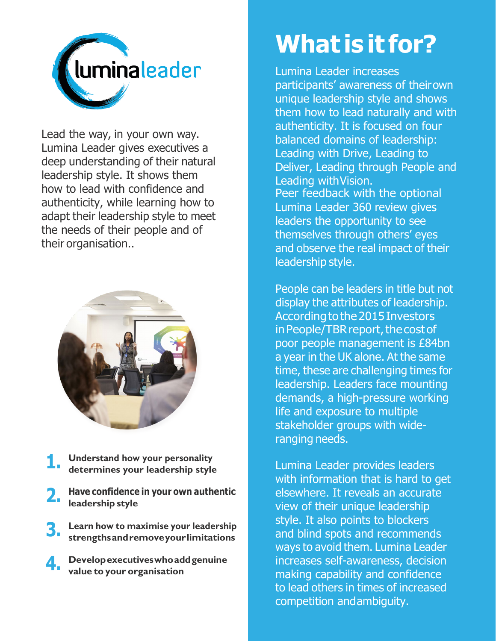

Lead the way, in your own way. Lumina Leader gives executives a deep understanding of their natural leadership style. It shows them how to lead with confidence and authenticity, while learning how to adapt their leadership style to meet the needs of their people and of their organisation..



- **Understand how your personality determines your leadership style 1.**
- **Have confidence in your own authentic leadership style 2.**
- **Learn how to maximise your leadership strengthsandremoveyourlimitations 3.**
- **Developexecutiveswhoaddgenuine value to your organisation 4.**

## **What is it for?**

Lumina Leader increases participants' awareness of theirown unique leadership style and shows them how to lead naturally and with authenticity. It is focused on four balanced domains of leadership: Leading with Drive, Leading to Deliver, Leading through People and Leading withVision. Peer feedback with the optional Lumina Leader 360 review gives leaders the opportunity to see themselves through others' eyes and observe the real impact of their leadership style.

People can be leaders in title but not display the attributes of leadership. According to the 2015 Investors in People/TBR report, the cost of poor people management is £84bn a year in the UK alone. At the same time, these are challenging times for leadership. Leaders face mounting demands, a high-pressure working life and exposure to multiple stakeholder groups with wideranging needs.

Lumina Leader provides leaders with information that is hard to get elsewhere. It reveals an accurate view of their unique leadership style. It also points to blockers and blind spots and recommends ways to avoid them. Lumina Leader increases self-awareness, decision making capability and confidence to lead others in times of increased competition andambiguity.